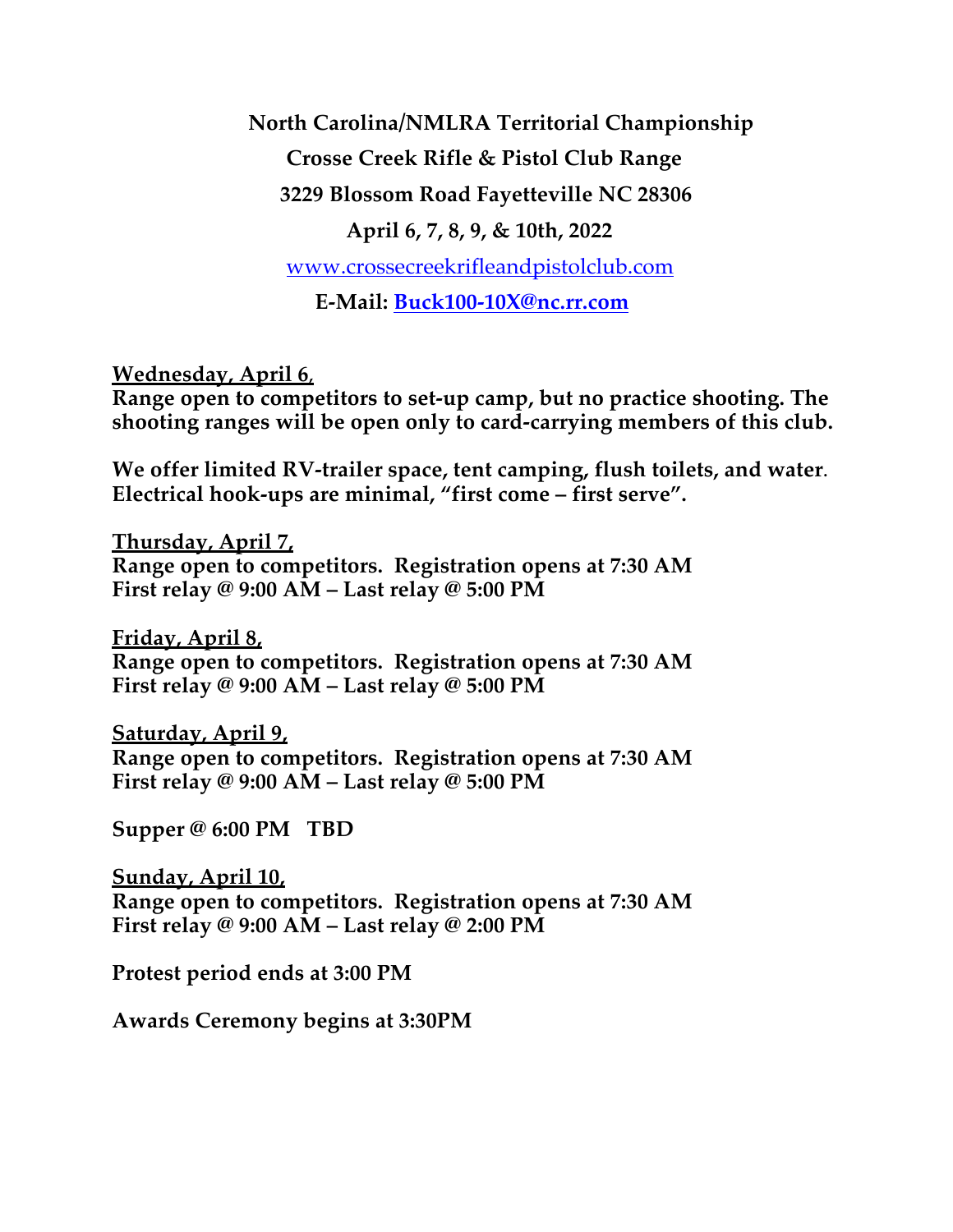**North Carolina/NMLRA Territorial Championship Crosse Creek Rifle & Pistol Club Range 3229 Blossom Road Fayetteville NC 28306 April 6, 7, 8, 9, & 10th, 2022** www.crossecreekrifleandpistolclub.com **E-Mail: Buck100-10X@nc.rr.com**

**Wednesday, April 6**,

**Range open to competitors to set-up camp, but no practice shooting. The shooting ranges will be open only to card-carrying members of this club.**

**We offer limited RV-trailer space, tent camping, flush toilets, and water**. **Electrical hook-ups are minimal, "first come – first serve".**

**Thursday, April 7, Range open to competitors. Registration opens at 7:30 AM First relay @ 9:00 AM – Last relay @ 5:00 PM**

**Friday, April 8, Range open to competitors. Registration opens at 7:30 AM First relay @ 9:00 AM – Last relay @ 5:00 PM**

**Saturday, April 9, Range open to competitors. Registration opens at 7:30 AM First relay @ 9:00 AM – Last relay @ 5:00 PM**

**Supper @ 6:00 PM TBD**

**Sunday, April 10, Range open to competitors. Registration opens at 7:30 AM First relay @ 9:00 AM – Last relay @ 2:00 PM**

**Protest period ends at 3:00 PM**

**Awards Ceremony begins at 3:30PM**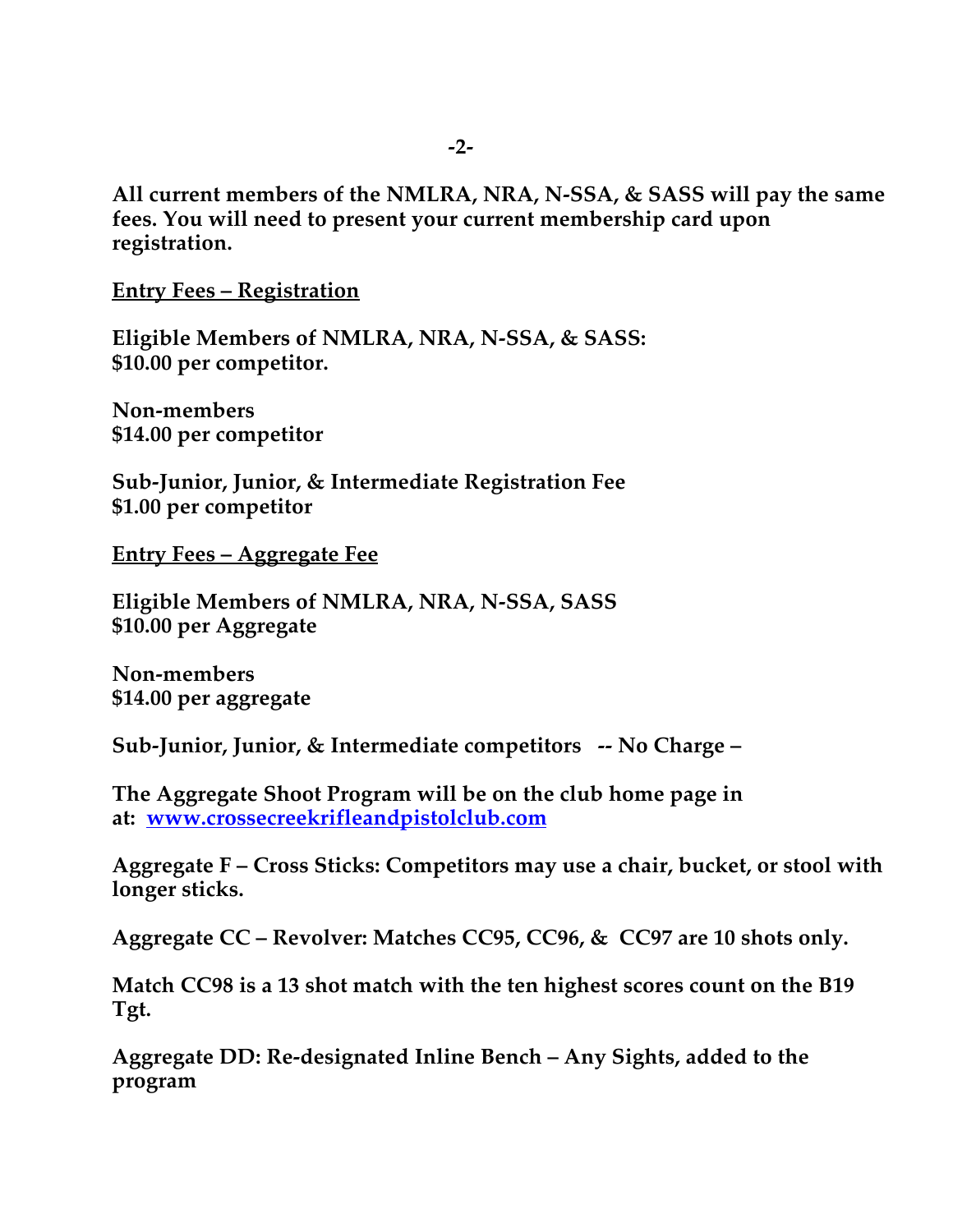**All current members of the NMLRA, NRA, N-SSA, & SASS will pay the same fees. You will need to present your current membership card upon registration.**

**Entry Fees – Registration**

**Eligible Members of NMLRA, NRA, N-SSA, & SASS: \$10.00 per competitor.** 

**Non-members \$14.00 per competitor**

**Sub-Junior, Junior, & Intermediate Registration Fee \$1.00 per competitor**

**Entry Fees – Aggregate Fee**

**Eligible Members of NMLRA, NRA, N-SSA, SASS \$10.00 per Aggregate**

**Non-members \$14.00 per aggregate**

**Sub-Junior, Junior, & Intermediate competitors -- No Charge –**

**The Aggregate Shoot Program will be on the club home page in at: www.crossecreekrifleandpistolclub.com**

**Aggregate F – Cross Sticks: Competitors may use a chair, bucket, or stool with longer sticks.**

**Aggregate CC – Revolver: Matches CC95, CC96, & CC97 are 10 shots only.**

**Match CC98 is a 13 shot match with the ten highest scores count on the B19 Tgt.**

**Aggregate DD: Re-designated Inline Bench – Any Sights, added to the program**